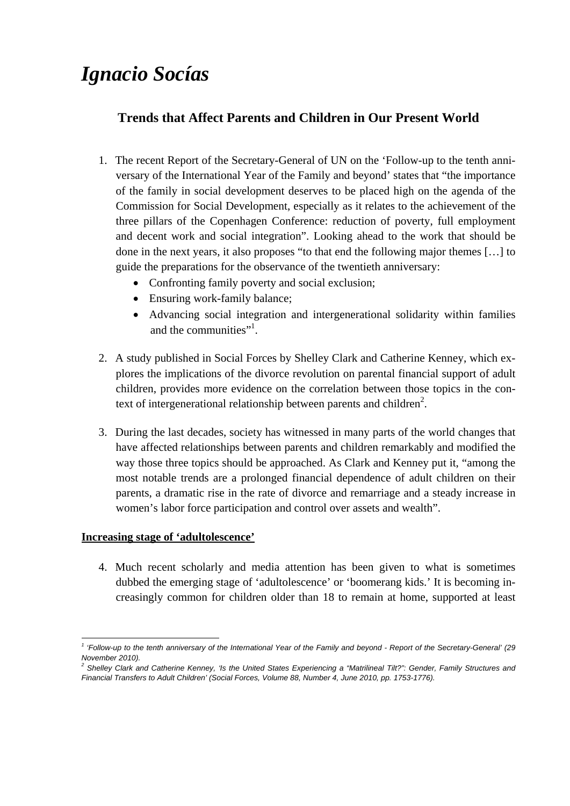# *Ignacio Socías*

## **Trends that Affect Parents and Children in Our Present World**

- 1. The recent Report of the Secretary-General of UN on the 'Follow-up to the tenth anniversary of the International Year of the Family and beyond' states that "the importance of the family in social development deserves to be placed high on the agenda of the Commission for Social Development, especially as it relates to the achievement of the three pillars of the Copenhagen Conference: reduction of poverty, full employment and decent work and social integration". Looking ahead to the work that should be done in the next years, it also proposes "to that end the following major themes […] to guide the preparations for the observance of the twentieth anniversary:
	- Confronting family poverty and social exclusion;
	- Ensuring work-family balance:
	- Advancing social integration and intergenerational solidarity within families and the communities"<sup>1</sup>.
- 2. A study published in Social Forces by Shelley Clark and Catherine Kenney, which explores the implications of the divorce revolution on parental financial support of adult children, provides more evidence on the correlation between those topics in the context of intergenerational relationship between parents and children<sup>2</sup>.
- 3. During the last decades, society has witnessed in many parts of the world changes that have affected relationships between parents and children remarkably and modified the way those three topics should be approached. As Clark and Kenney put it, "among the most notable trends are a prolonged financial dependence of adult children on their parents, a dramatic rise in the rate of divorce and remarriage and a steady increase in women's labor force participation and control over assets and wealth".

### **Increasing stage of 'adultolescence'**

4. Much recent scholarly and media attention has been given to what is sometimes dubbed the emerging stage of 'adultolescence' or 'boomerang kids.' It is becoming increasingly common for children older than 18 to remain at home, supported at least

<sup>1</sup> *1 'Follow-up to the tenth anniversary of the International Year of the Family and beyond - Report of the Secretary-General' (29 November 2010).* 

<sup>&</sup>lt;sup>2</sup> Shelley Clark and Catherine Kenney, 'Is the United States Experiencing a "Matrilineal Tilt?": Gender, Family Structures and *Financial Transfers to Adult Children' (Social Forces, Volume 88, Number 4, June 2010, pp. 1753-1776).*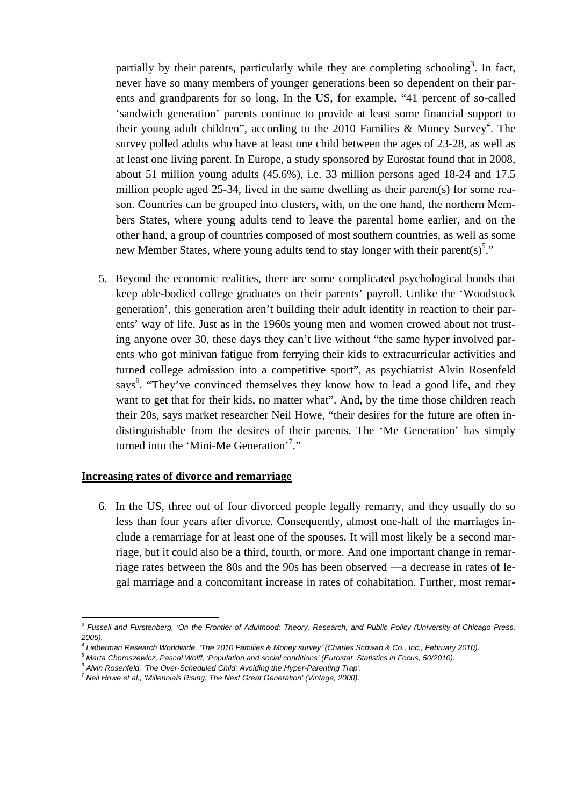partially by their parents, particularly while they are completing schooling<sup>3</sup>. In fact, never have so many members of younger generations been so dependent on their parents and grandparents for so long. In the US, for example, "41 percent of so-called 'sandwich generation' parents continue to provide at least some financial support to their young adult children", according to the 2010 Families & Money Survey<sup>4</sup>. The survey polled adults who have at least one child between the ages of 23-28, as well as at least one living parent. In Europe, a study sponsored by Eurostat found that in 2008, about 51 million young adults (45.6%), i.e. 33 million persons aged 18-24 and 17.5 million people aged 25-34, lived in the same dwelling as their parent(s) for some reason. Countries can be grouped into clusters, with, on the one hand, the northern Members States, where young adults tend to leave the parental home earlier, and on the other hand, a group of countries composed of most southern countries, as well as some new Member States, where young adults tend to stay longer with their parent(s)<sup>5</sup>."

5. Beyond the economic realities, there are some complicated psychological bonds that keep able-bodied college graduates on their parents' payroll. Unlike the 'Woodstock generation', this generation aren't building their adult identity in reaction to their parents' way of life. Just as in the 1960s young men and women crowed about not trusting anyone over 30, these days they can't live without "the same hyper involved parents who got minivan fatigue from ferrying their kids to extracurricular activities and turned college admission into a competitive sport", as psychiatrist Alvin Rosenfeld says<sup>6</sup>. "They've convinced themselves they know how to lead a good life, and they want to get that for their kids, no matter what". And, by the time those children reach their 20s, says market researcher Neil Howe, "their desires for the future are often indistinguishable from the desires of their parents. The 'Me Generation' has simply turned into the 'Mini-Me Generation'<sup>7</sup>."

#### **Increasing rates of divorce and remarriage**

6. In the US, three out of four divorced people legally remarry, and they usually do so less than four years after divorce. Consequently, almost one-half of the marriages include a remarriage for at least one of the spouses. It will most likely be a second marriage, but it could also be a third, fourth, or more. And one important change in remarriage rates between the 80s and the 90s has been observed —a decrease in rates of legal marriage and a concomitant increase in rates of cohabitation. Further, most remar-

<sup>1</sup> *3 Fussell and Furstenberg, 'On the Frontier of Adulthood: Theory, Research, and Public Policy (University of Chicago Press, 2005).*

<sup>&</sup>lt;sup>4</sup> Lieberman Research Worldwide, 'The 2010 Families & Money survey' (Charles Schwab & Co., Inc., February 2010).<br><sup>5</sup> Marte Characzawiaz, Reseal Wolff, iBanulation and assist sanditional (Eurostat, Statistics in Eague, 50/

<sup>&</sup>lt;sup>5</sup> Marta Choroszewicz, Pascal Wolff, 'Population and social conditions' (Eurostat, Statistics in Focus, 50/2010).

<sup>&</sup>lt;sup>6</sup> Alvin Rosenfeld, 'The Over-Scheduled Child: Avoiding the Hyper-Parenting Trap'.

*Neil Howe et al., 'Millennials Rising: The Next Great Generation' (Vintage, 2000).*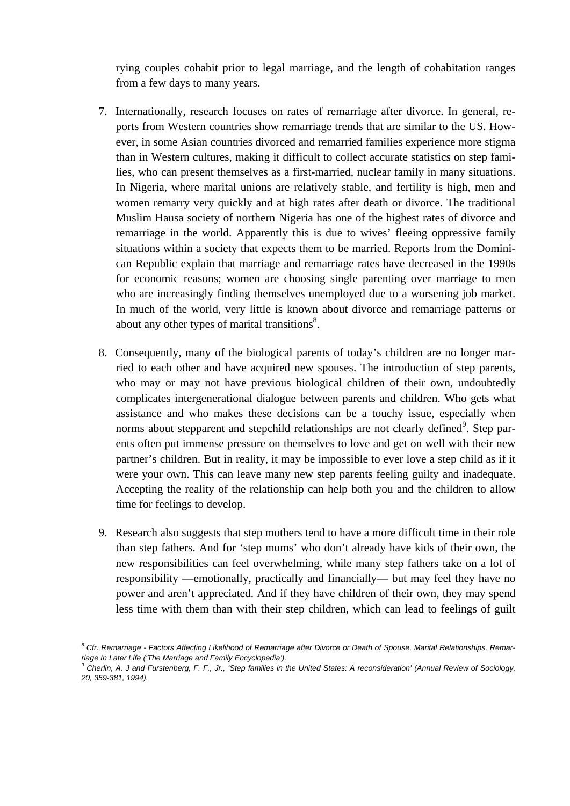rying couples cohabit prior to legal marriage, and the length of cohabitation ranges from a few days to many years.

- 7. Internationally, research focuses on rates of remarriage after divorce. In general, reports from Western countries show remarriage trends that are similar to the US. However, in some Asian countries divorced and remarried families experience more stigma than in Western cultures, making it difficult to collect accurate statistics on step families, who can present themselves as a first-married, nuclear family in many situations. In Nigeria, where marital unions are relatively stable, and fertility is high, men and women remarry very quickly and at high rates after death or divorce. The traditional Muslim Hausa society of northern Nigeria has one of the highest rates of divorce and remarriage in the world. Apparently this is due to wives' fleeing oppressive family situations within a society that expects them to be married. Reports from the Dominican Republic explain that marriage and remarriage rates have decreased in the 1990s for economic reasons; women are choosing single parenting over marriage to men who are increasingly finding themselves unemployed due to a worsening job market. In much of the world, very little is known about divorce and remarriage patterns or about any other types of marital transitions $8$ .
- 8. Consequently, many of the biological parents of today's children are no longer married to each other and have acquired new spouses. The introduction of step parents, who may or may not have previous biological children of their own, undoubtedly complicates intergenerational dialogue between parents and children. Who gets what assistance and who makes these decisions can be a touchy issue, especially when norms about stepparent and stepchild relationships are not clearly defined $\degree$ . Step parents often put immense pressure on themselves to love and get on well with their new partner's children. But in reality, it may be impossible to ever love a step child as if it were your own. This can leave many new step parents feeling guilty and inadequate. Accepting the reality of the relationship can help both you and the children to allow time for feelings to develop.
- 9. Research also suggests that step mothers tend to have a more difficult time in their role than step fathers. And for 'step mums' who don't already have kids of their own, the new responsibilities can feel overwhelming, while many step fathers take on a lot of responsibility —emotionally, practically and financially— but may feel they have no power and aren't appreciated. And if they have children of their own, they may spend less time with them than with their step children, which can lead to feelings of guilt

<sup>1</sup> <sup>8</sup> Cfr. Remarriage - Factors Affecting Likelihood of Remarriage after Divorce or Death of Spouse, Marital Relationships, Remar*riage In Later Life ('The Marriage and Family Encyclopedia').* 

<sup>&</sup>lt;sup>9</sup> Cherlin, A. J and Furstenberg, F. F., Jr., 'Step families in the United States: A reconsideration' (Annual Review of Sociology, *20, 359-381, 1994).*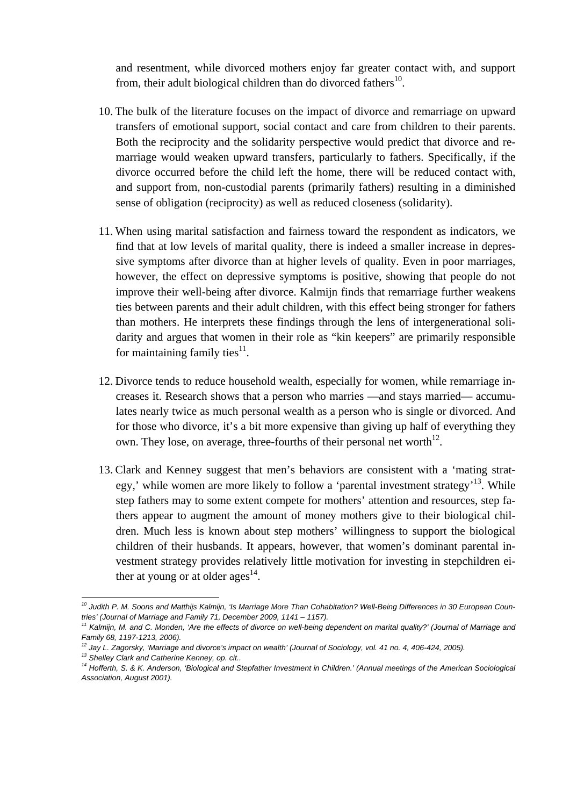and resentment, while divorced mothers enjoy far greater contact with, and support from, their adult biological children than do divorced fathers<sup>10</sup>.

- 10. The bulk of the literature focuses on the impact of divorce and remarriage on upward transfers of emotional support, social contact and care from children to their parents. Both the reciprocity and the solidarity perspective would predict that divorce and remarriage would weaken upward transfers, particularly to fathers. Specifically, if the divorce occurred before the child left the home, there will be reduced contact with, and support from, non-custodial parents (primarily fathers) resulting in a diminished sense of obligation (reciprocity) as well as reduced closeness (solidarity).
- 11. When using marital satisfaction and fairness toward the respondent as indicators, we find that at low levels of marital quality, there is indeed a smaller increase in depressive symptoms after divorce than at higher levels of quality. Even in poor marriages, however, the effect on depressive symptoms is positive, showing that people do not improve their well-being after divorce. Kalmijn finds that remarriage further weakens ties between parents and their adult children, with this effect being stronger for fathers than mothers. He interprets these findings through the lens of intergenerational solidarity and argues that women in their role as "kin keepers" are primarily responsible for maintaining family ties $^{11}$ .
- 12. Divorce tends to reduce household wealth, especially for women, while remarriage increases it. Research shows that a person who marries —and stays married— accumulates nearly twice as much personal wealth as a person who is single or divorced. And for those who divorce, it's a bit more expensive than giving up half of everything they own. They lose, on average, three-fourths of their personal net worth $12$ .
- 13. Clark and Kenney suggest that men's behaviors are consistent with a 'mating strategy,' while women are more likely to follow a 'parental investment strategy'<sup>13</sup>. While step fathers may to some extent compete for mothers' attention and resources, step fathers appear to augment the amount of money mothers give to their biological children. Much less is known about step mothers' willingness to support the biological children of their husbands. It appears, however, that women's dominant parental investment strategy provides relatively little motivation for investing in stepchildren either at young or at older ages<sup>14</sup>.

1

*<sup>10</sup> Judith P. M. Soons and Matthijs Kalmijn, 'Is Marriage More Than Cohabitation? Well-Being Differences in 30 European Countries' (Journal of Marriage and Family 71, December 2009, 1141 – 1157).* 

*<sup>11</sup> Kalmijn, M. and C. Monden, 'Are the effects of divorce on well-being dependent on marital quality?' (Journal of Marriage and Family 68, 1197-1213, 2006).* 

<sup>&</sup>lt;sup>12</sup> Jay L. Zagorsky, 'Marriage and divorce's impact on wealth' (Journal of Sociology, vol. 41 no. 4, 406-424, 2005).<br><sup>13</sup> Shellev Clark and Catherine Kenney, op. cit..

*<sup>14</sup> Hofferth, S. & K. Anderson, 'Biological and Stepfather Investment in Children.' (Annual meetings of the American Sociological Association, August 2001).*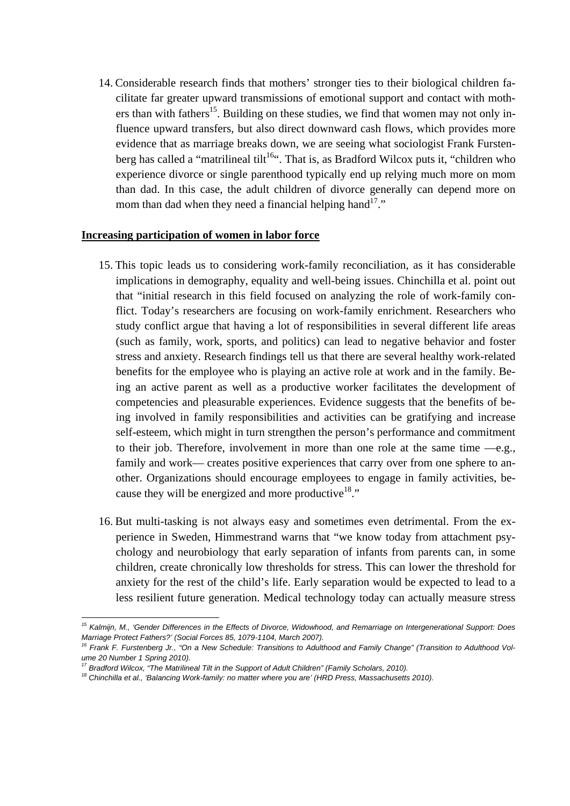14. Considerable research finds that mothers' stronger ties to their biological children facilitate far greater upward transmissions of emotional support and contact with mothers than with fathers<sup>15</sup>. Building on these studies, we find that women may not only influence upward transfers, but also direct downward cash flows, which provides more evidence that as marriage breaks down, we are seeing what sociologist Frank Furstenberg has called a "matrilineal tilt<sup>16"</sup>. That is, as Bradford Wilcox puts it, "children who experience divorce or single parenthood typically end up relying much more on mom than dad. In this case, the adult children of divorce generally can depend more on mom than dad when they need a financial helping hand<sup>17</sup>."

#### **Increasing participation of women in labor force**

- 15. This topic leads us to considering work-family reconciliation, as it has considerable implications in demography, equality and well-being issues. Chinchilla et al. point out that "initial research in this field focused on analyzing the role of work-family conflict. Today's researchers are focusing on work-family enrichment. Researchers who study conflict argue that having a lot of responsibilities in several different life areas (such as family, work, sports, and politics) can lead to negative behavior and foster stress and anxiety. Research findings tell us that there are several healthy work-related benefits for the employee who is playing an active role at work and in the family. Being an active parent as well as a productive worker facilitates the development of competencies and pleasurable experiences. Evidence suggests that the benefits of being involved in family responsibilities and activities can be gratifying and increase self-esteem, which might in turn strengthen the person's performance and commitment to their job. Therefore, involvement in more than one role at the same time —e.g., family and work— creates positive experiences that carry over from one sphere to another. Organizations should encourage employees to engage in family activities, because they will be energized and more productive<sup>18</sup>."
- 16. But multi-tasking is not always easy and sometimes even detrimental. From the experience in Sweden, Himmestrand warns that "we know today from attachment psychology and neurobiology that early separation of infants from parents can, in some children, create chronically low thresholds for stress. This can lower the threshold for anxiety for the rest of the child's life. Early separation would be expected to lead to a less resilient future generation. Medical technology today can actually measure stress

<sup>1</sup> *15 Kalmijn, M., 'Gender Differences in the Effects of Divorce, Widowhood, and Remarriage on Intergenerational Support: Does*  Marriage Protect Fathers?' (Social Forces 85, 1079-1104, March 2007).<br><sup>16</sup> Frank F. Furstenberg Jr., "On a New Schedule: Transitions to Adulthood and Family Change" (Transition to Adulthood Vol-

*ume 20 Number 1 Spring 2010).* 

<sup>&</sup>lt;sup>18</sup> Chinchilla et al., 'Balancing Work-family: no matter where you are' (HRD Press, Massachusetts 2010).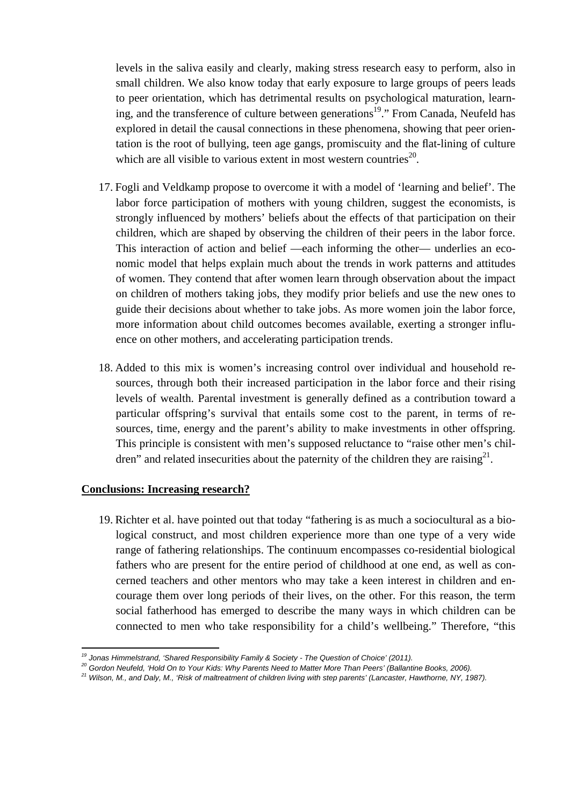levels in the saliva easily and clearly, making stress research easy to perform, also in small children. We also know today that early exposure to large groups of peers leads to peer orientation, which has detrimental results on psychological maturation, learning, and the transference of culture between generations<sup>19</sup>." From Canada, Neufeld has explored in detail the causal connections in these phenomena, showing that peer orientation is the root of bullying, teen age gangs, promiscuity and the flat-lining of culture which are all visible to various extent in most western countries<sup>20</sup>.

- 17. Fogli and Veldkamp propose to overcome it with a model of 'learning and belief'. The labor force participation of mothers with young children, suggest the economists, is strongly influenced by mothers' beliefs about the effects of that participation on their children, which are shaped by observing the children of their peers in the labor force. This interaction of action and belief —each informing the other— underlies an economic model that helps explain much about the trends in work patterns and attitudes of women. They contend that after women learn through observation about the impact on children of mothers taking jobs, they modify prior beliefs and use the new ones to guide their decisions about whether to take jobs. As more women join the labor force, more information about child outcomes becomes available, exerting a stronger influence on other mothers, and accelerating participation trends.
- 18. Added to this mix is women's increasing control over individual and household resources, through both their increased participation in the labor force and their rising levels of wealth. Parental investment is generally defined as a contribution toward a particular offspring's survival that entails some cost to the parent, in terms of resources, time, energy and the parent's ability to make investments in other offspring. This principle is consistent with men's supposed reluctance to "raise other men's children" and related insecurities about the paternity of the children they are raising $^{21}$ .

#### **Conclusions: Increasing research?**

19. Richter et al. have pointed out that today "fathering is as much a sociocultural as a biological construct, and most children experience more than one type of a very wide range of fathering relationships. The continuum encompasses co-residential biological fathers who are present for the entire period of childhood at one end, as well as concerned teachers and other mentors who may take a keen interest in children and encourage them over long periods of their lives, on the other. For this reason, the term social fatherhood has emerged to describe the many ways in which children can be connected to men who take responsibility for a child's wellbeing." Therefore, "this

<sup>&</sup>lt;sup>19</sup> Jonas Himmelstrand. 'Shared Responsibility Family & Society - The Question of Choice' (2011).

<sup>&</sup>lt;sup>20</sup> Gordon Neufeld, 'Hold On to Your Kids: Why Parents Need to Matter More Than Peers' (Ballantine Books, 2006).

*<sup>21</sup> Wilson, M., and Daly, M., 'Risk of maltreatment of children living with step parents' (Lancaster, Hawthorne, NY, 1987).*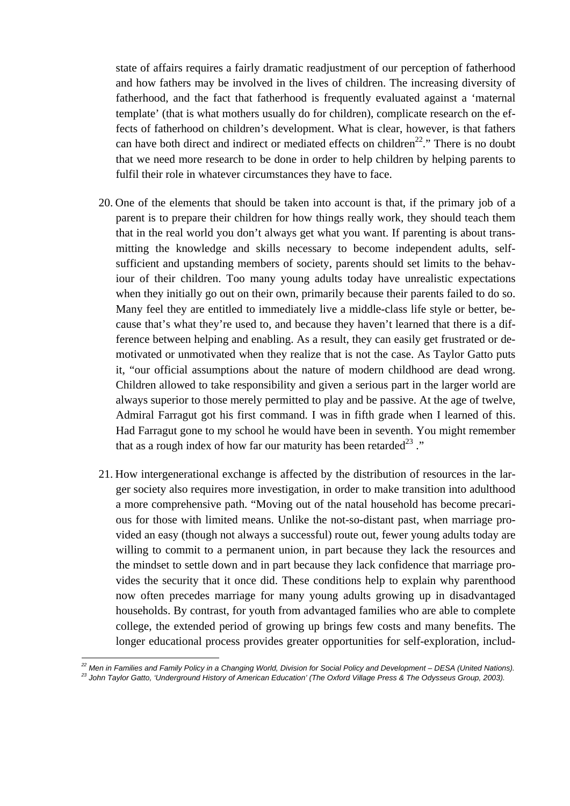state of affairs requires a fairly dramatic readjustment of our perception of fatherhood and how fathers may be involved in the lives of children. The increasing diversity of fatherhood, and the fact that fatherhood is frequently evaluated against a 'maternal template' (that is what mothers usually do for children), complicate research on the effects of fatherhood on children's development. What is clear, however, is that fathers can have both direct and indirect or mediated effects on children<sup>22</sup>." There is no doubt that we need more research to be done in order to help children by helping parents to fulfil their role in whatever circumstances they have to face.

- 20. One of the elements that should be taken into account is that, if the primary job of a parent is to prepare their children for how things really work, they should teach them that in the real world you don't always get what you want. If parenting is about transmitting the knowledge and skills necessary to become independent adults, selfsufficient and upstanding members of society, parents should set limits to the behaviour of their children. Too many young adults today have unrealistic expectations when they initially go out on their own, primarily because their parents failed to do so. Many feel they are entitled to immediately live a middle-class life style or better, because that's what they're used to, and because they haven't learned that there is a difference between helping and enabling. As a result, they can easily get frustrated or demotivated or unmotivated when they realize that is not the case. As Taylor Gatto puts it, "our official assumptions about the nature of modern childhood are dead wrong. Children allowed to take responsibility and given a serious part in the larger world are always superior to those merely permitted to play and be passive. At the age of twelve, Admiral Farragut got his first command. I was in fifth grade when I learned of this. Had Farragut gone to my school he would have been in seventh. You might remember that as a rough index of how far our maturity has been retarded<sup>23</sup>."
- 21. How intergenerational exchange is affected by the distribution of resources in the larger society also requires more investigation, in order to make transition into adulthood a more comprehensive path. "Moving out of the natal household has become precarious for those with limited means. Unlike the not-so-distant past, when marriage provided an easy (though not always a successful) route out, fewer young adults today are willing to commit to a permanent union, in part because they lack the resources and the mindset to settle down and in part because they lack confidence that marriage provides the security that it once did. These conditions help to explain why parenthood now often precedes marriage for many young adults growing up in disadvantaged households. By contrast, for youth from advantaged families who are able to complete college, the extended period of growing up brings few costs and many benefits. The longer educational process provides greater opportunities for self-exploration, includ-

<sup>&</sup>lt;sup>22</sup> Men in Families and Family Policy in a Changing World. Division for Social Policy and Development – DESA (United Nations). <sup>23</sup> John Taylor Gatto, 'Underground History of American Education' (The Oxford Village Press & The Odysseus Group, 2003).